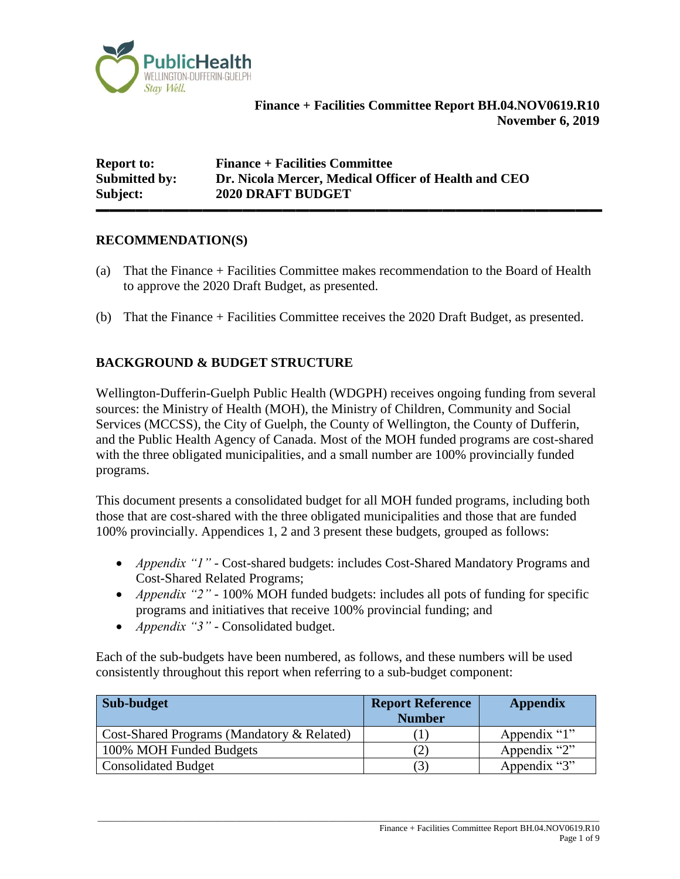

**Finance + Facilities Committee Report BH.04.NOV0619.R10 November 6, 2019**

**Report to: Finance + Facilities Committee Submitted by: Dr. Nicola Mercer, Medical Officer of Health and CEO Subject: 2020 DRAFT BUDGET**

#### **RECOMMENDATION(S)**

(a) That the Finance + Facilities Committee makes recommendation to the Board of Health to approve the 2020 Draft Budget, as presented.

**▬▬▬▬▬▬▬▬▬▬▬▬▬▬▬▬▬▬▬▬▬▬▬▬▬▬▬▬▬▬▬▬▬▬▬▬▬▬**

(b) That the Finance + Facilities Committee receives the 2020 Draft Budget, as presented.

#### **BACKGROUND & BUDGET STRUCTURE**

Wellington-Dufferin-Guelph Public Health (WDGPH) receives ongoing funding from several sources: the Ministry of Health (MOH), the Ministry of Children, Community and Social Services (MCCSS), the City of Guelph, the County of Wellington, the County of Dufferin, and the Public Health Agency of Canada. Most of the MOH funded programs are cost-shared with the three obligated municipalities, and a small number are 100% provincially funded programs.

This document presents a consolidated budget for all MOH funded programs, including both those that are cost-shared with the three obligated municipalities and those that are funded 100% provincially. Appendices 1, 2 and 3 present these budgets, grouped as follows:

- *Appendix "1" -* Cost-shared budgets: includes Cost-Shared Mandatory Programs and Cost-Shared Related Programs;
- *Appendix "2" -* 100% MOH funded budgets: includes all pots of funding for specific programs and initiatives that receive 100% provincial funding; and
- *Appendix "3" -* Consolidated budget.

Each of the sub-budgets have been numbered, as follows, and these numbers will be used consistently throughout this report when referring to a sub-budget component:

| Sub-budget                                 | <b>Report Reference</b><br><b>Number</b> | <b>Appendix</b> |
|--------------------------------------------|------------------------------------------|-----------------|
| Cost-Shared Programs (Mandatory & Related) |                                          | Appendix "1"    |
| 100% MOH Funded Budgets                    |                                          | Appendix "2"    |
| <b>Consolidated Budget</b>                 |                                          | Appendix "3"    |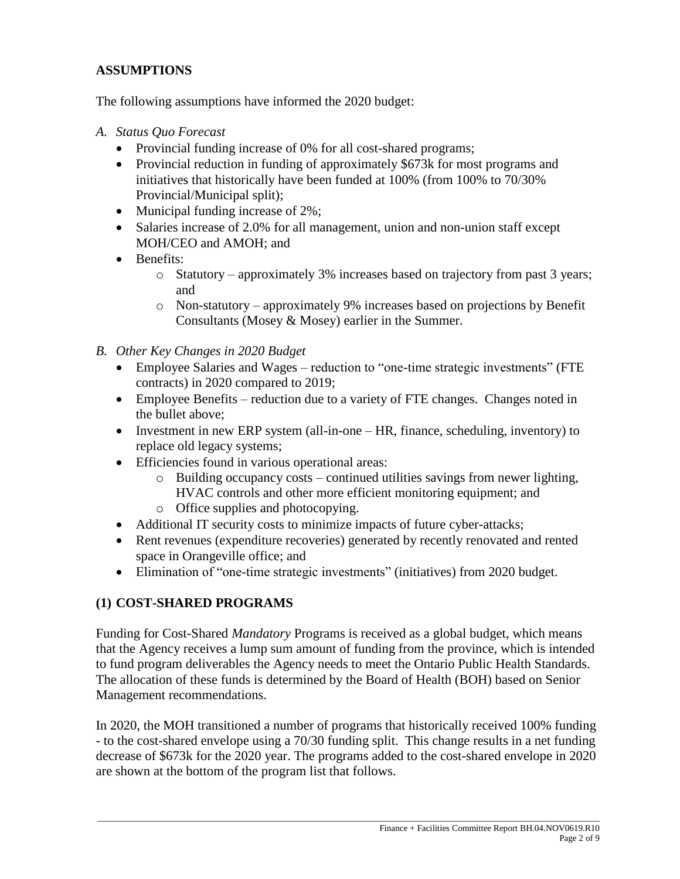#### **ASSUMPTIONS**

The following assumptions have informed the 2020 budget:

- *A. Status Quo Forecast*
	- Provincial funding increase of 0% for all cost-shared programs;
	- Provincial reduction in funding of approximately \$673k for most programs and initiatives that historically have been funded at 100% (from 100% to 70/30% Provincial/Municipal split);
	- Municipal funding increase of 2%;
	- Salaries increase of 2.0% for all management, union and non-union staff except MOH/CEO and AMOH; and
	- Benefits:
		- o Statutory approximately 3% increases based on trajectory from past 3 years; and
		- o Non-statutory approximately 9% increases based on projections by Benefit Consultants (Mosey & Mosey) earlier in the Summer.
- *B. Other Key Changes in 2020 Budget*
	- Employee Salaries and Wages reduction to "one-time strategic investments" (FTE contracts) in 2020 compared to 2019;
	- Employee Benefits reduction due to a variety of FTE changes. Changes noted in the bullet above;
	- Investment in new ERP system (all-in-one HR, finance, scheduling, inventory) to replace old legacy systems;
	- Efficiencies found in various operational areas:
		- o Building occupancy costs continued utilities savings from newer lighting, HVAC controls and other more efficient monitoring equipment; and
		- o Office supplies and photocopying.
	- Additional IT security costs to minimize impacts of future cyber-attacks;
	- Rent revenues (expenditure recoveries) generated by recently renovated and rented space in Orangeville office; and
	- Elimination of "one-time strategic investments" (initiatives) from 2020 budget.

#### **(1) COST-SHARED PROGRAMS**

Funding for Cost-Shared *Mandatory* Programs is received as a global budget, which means that the Agency receives a lump sum amount of funding from the province, which is intended to fund program deliverables the Agency needs to meet the Ontario Public Health Standards. The allocation of these funds is determined by the Board of Health (BOH) based on Senior Management recommendations.

In 2020, the MOH transitioned a number of programs that historically received 100% funding - to the cost-shared envelope using a 70/30 funding split. This change results in a net funding decrease of \$673k for the 2020 year. The programs added to the cost-shared envelope in 2020 are shown at the bottom of the program list that follows.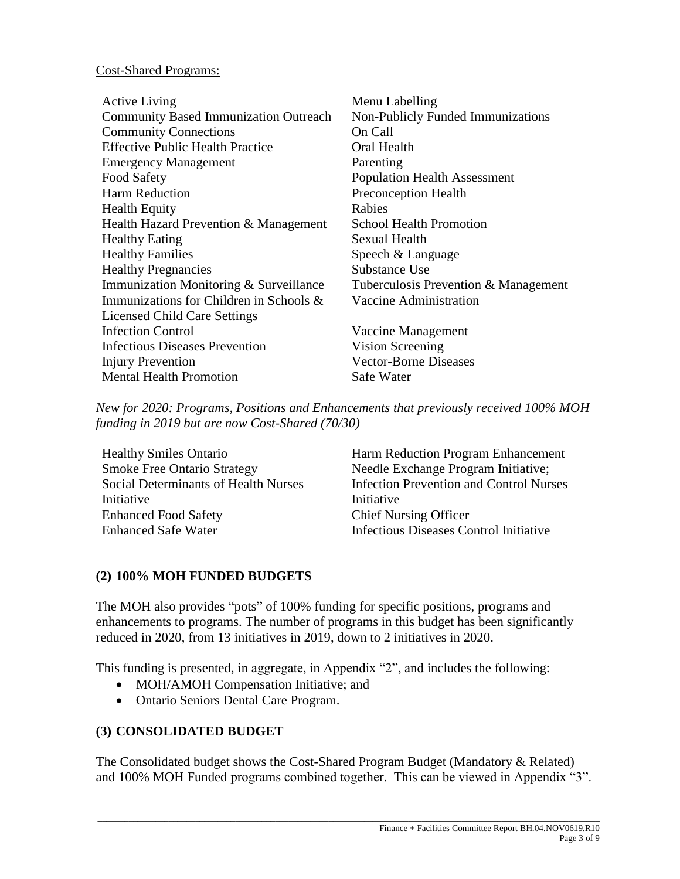#### Cost-Shared Programs:

| <b>Active Living</b>                         | Menu Labelling                       |
|----------------------------------------------|--------------------------------------|
| <b>Community Based Immunization Outreach</b> | Non-Publicly Funded Immunizations    |
| <b>Community Connections</b>                 | On Call                              |
| <b>Effective Public Health Practice</b>      | Oral Health                          |
| <b>Emergency Management</b>                  | Parenting                            |
| Food Safety                                  | <b>Population Health Assessment</b>  |
| Harm Reduction                               | <b>Preconception Health</b>          |
| <b>Health Equity</b>                         | Rabies                               |
| Health Hazard Prevention & Management        | <b>School Health Promotion</b>       |
| <b>Healthy Eating</b>                        | <b>Sexual Health</b>                 |
| <b>Healthy Families</b>                      | Speech & Language                    |
| <b>Healthy Pregnancies</b>                   | Substance Use                        |
| Immunization Monitoring & Surveillance       | Tuberculosis Prevention & Management |
| Immunizations for Children in Schools $\&$   | Vaccine Administration               |
| <b>Licensed Child Care Settings</b>          |                                      |
| <b>Infection Control</b>                     | Vaccine Management                   |
| <b>Infectious Diseases Prevention</b>        | Vision Screening                     |
| <b>Injury Prevention</b>                     | <b>Vector-Borne Diseases</b>         |
| <b>Mental Health Promotion</b>               | Safe Water                           |

*New for 2020: Programs, Positions and Enhancements that previously received 100% MOH funding in 2019 but are now Cost-Shared (70/30)*

Smoke Free Ontario Strategy Needle Exchange Program Initiative; Social Determinants of Health Nurses **Initiative** Enhanced Food Safety Chief Nursing Officer Enhanced Safe Water Infectious Diseases Control Initiative

Healthy Smiles Ontario Harm Reduction Program Enhancement Infection Prevention and Control Nurses Initiative

#### **(2) 100% MOH FUNDED BUDGETS**

The MOH also provides "pots" of 100% funding for specific positions, programs and enhancements to programs. The number of programs in this budget has been significantly reduced in 2020, from 13 initiatives in 2019, down to 2 initiatives in 2020.

This funding is presented, in aggregate, in Appendix "2", and includes the following:

- MOH/AMOH Compensation Initiative; and
- Ontario Seniors Dental Care Program.

#### **(3) CONSOLIDATED BUDGET**

The Consolidated budget shows the Cost-Shared Program Budget (Mandatory & Related) and 100% MOH Funded programs combined together. This can be viewed in Appendix "3".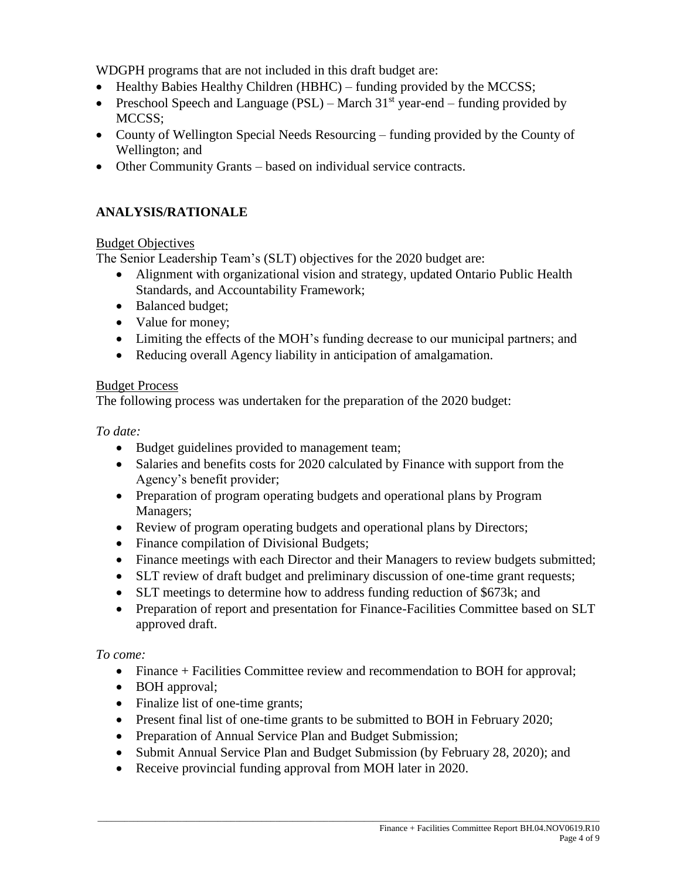WDGPH programs that are not included in this draft budget are:

- Healthy Babies Healthy Children (HBHC) funding provided by the MCCSS;
- Preschool Speech and Language (PSL) March  $31<sup>st</sup>$  year-end funding provided by MCCSS;
- County of Wellington Special Needs Resourcing funding provided by the County of Wellington; and
- Other Community Grants based on individual service contracts.

#### **ANALYSIS/RATIONALE**

#### Budget Objectives

The Senior Leadership Team's (SLT) objectives for the 2020 budget are:

- Alignment with organizational vision and strategy, updated Ontario Public Health Standards, and Accountability Framework;
- Balanced budget;
- Value for money;
- Limiting the effects of the MOH's funding decrease to our municipal partners; and
- Reducing overall Agency liability in anticipation of amalgamation.

#### Budget Process

The following process was undertaken for the preparation of the 2020 budget:

*To date:*

- Budget guidelines provided to management team;
- Salaries and benefits costs for 2020 calculated by Finance with support from the Agency's benefit provider;
- Preparation of program operating budgets and operational plans by Program Managers;
- Review of program operating budgets and operational plans by Directors;
- Finance compilation of Divisional Budgets;
- Finance meetings with each Director and their Managers to review budgets submitted;
- SLT review of draft budget and preliminary discussion of one-time grant requests;
- SLT meetings to determine how to address funding reduction of \$673k; and
- Preparation of report and presentation for Finance-Facilities Committee based on SLT approved draft.

*To come:*

- Finance + Facilities Committee review and recommendation to BOH for approval;
- BOH approval;
- Finalize list of one-time grants;
- Present final list of one-time grants to be submitted to BOH in February 2020;
- Preparation of Annual Service Plan and Budget Submission;
- Submit Annual Service Plan and Budget Submission (by February 28, 2020); and
- Receive provincial funding approval from MOH later in 2020.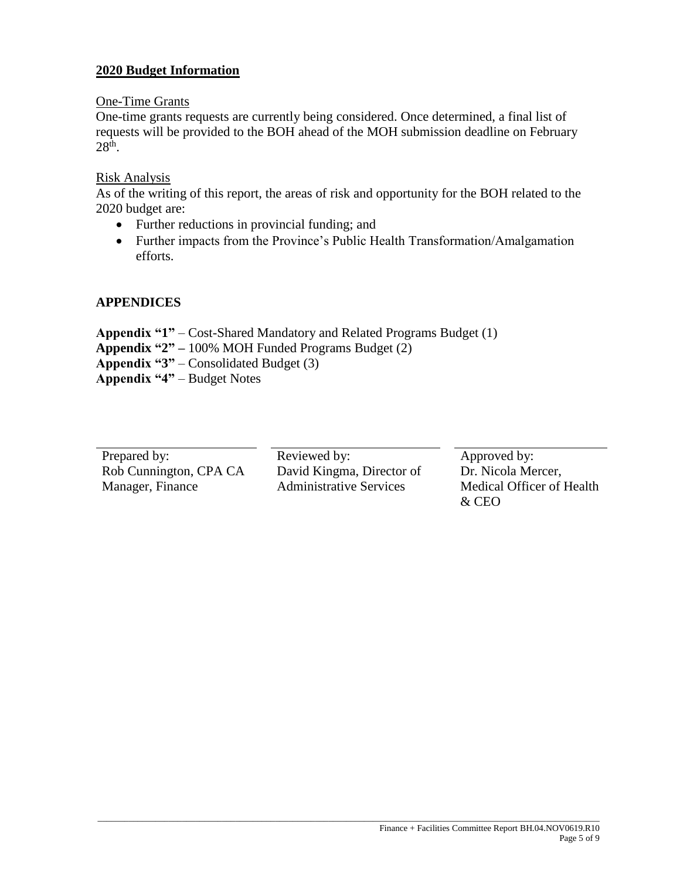#### **2020 Budget Information**

#### One-Time Grants

One-time grants requests are currently being considered. Once determined, a final list of requests will be provided to the BOH ahead of the MOH submission deadline on February  $28<sup>th</sup>$ .

#### Risk Analysis

As of the writing of this report, the areas of risk and opportunity for the BOH related to the 2020 budget are:

- Further reductions in provincial funding; and
- Further impacts from the Province's Public Health Transformation/Amalgamation efforts.

#### **APPENDICES**

**Appendix "1"** – Cost-Shared Mandatory and Related Programs Budget (1) **Appendix "2" –** 100% MOH Funded Programs Budget (2) **Appendix "3"** – Consolidated Budget (3) **Appendix "4"** – Budget Notes

| Prepared by:           | Reviewed by:                   | Approved by:              |
|------------------------|--------------------------------|---------------------------|
| Rob Cunnington, CPA CA | David Kingma, Director of      | Dr. Nicola Mercer,        |
| Manager, Finance       | <b>Administrative Services</b> | Medical Officer of Health |
|                        |                                | & CEO                     |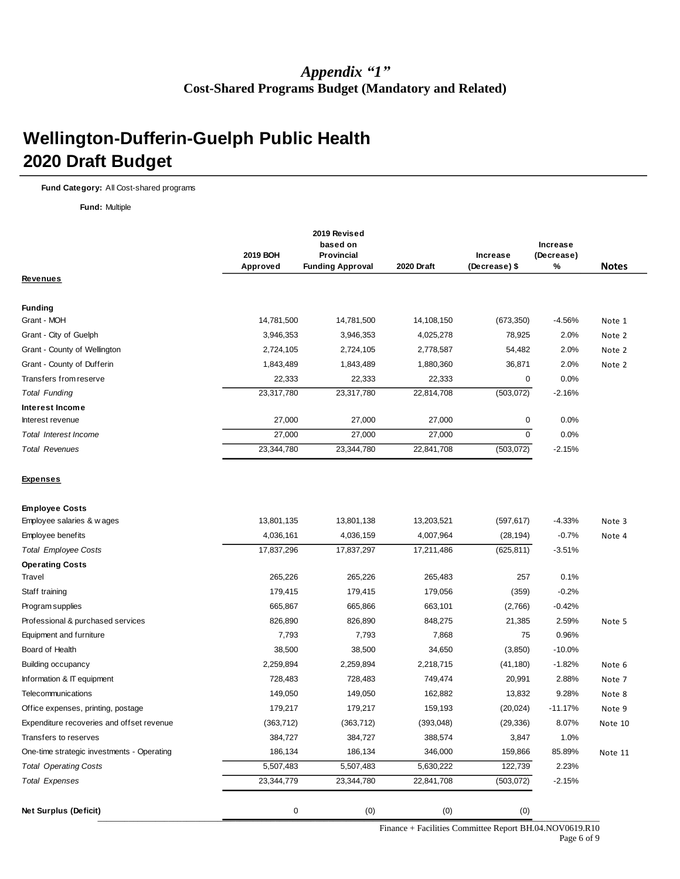#### *Appendix "1"* **Cost-Shared Programs Budget (Mandatory and Related)**

## **Wellington-Dufferin-Guelph Public Health 2020 Draft Budget**

**Fund Category:** All Cost-shared programs

**Fund:** Multiple

|                                            |            | 2019 Revised<br>based on<br>2019 BOH<br><b>Provincial</b> |            |               | Increase<br><b>Increase</b><br>(Decrease) |              |  |
|--------------------------------------------|------------|-----------------------------------------------------------|------------|---------------|-------------------------------------------|--------------|--|
|                                            | Approved   | <b>Funding Approval</b>                                   | 2020 Draft | (Decrease) \$ | %                                         | <b>Notes</b> |  |
| <u>Revenues</u>                            |            |                                                           |            |               |                                           |              |  |
| <b>Funding</b>                             |            |                                                           |            |               |                                           |              |  |
| Grant - MOH                                | 14,781,500 | 14,781,500                                                | 14,108,150 | (673, 350)    | $-4.56%$                                  | Note 1       |  |
| Grant - City of Guelph                     | 3,946,353  | 3,946,353                                                 | 4,025,278  | 78,925        | 2.0%                                      | Note 2       |  |
| Grant - County of Wellington               | 2,724,105  | 2,724,105                                                 | 2,778,587  | 54,482        | 2.0%                                      | Note 2       |  |
| Grant - County of Dufferin                 | 1,843,489  | 1,843,489                                                 | 1,880,360  | 36,871        | 2.0%                                      | Note 2       |  |
| Transfers from reserve                     | 22,333     | 22,333                                                    | 22,333     | $\mathbf 0$   | 0.0%                                      |              |  |
| <b>Total Funding</b>                       | 23,317,780 | 23,317,780                                                | 22,814,708 | (503, 072)    | $-2.16%$                                  |              |  |
| Interest Income                            |            |                                                           |            |               |                                           |              |  |
| Interest revenue                           | 27,000     | 27,000                                                    | 27,000     | 0             | 0.0%                                      |              |  |
| Total Interest Income                      | 27,000     | 27,000                                                    | 27,000     | 0             | 0.0%                                      |              |  |
| <b>Total Revenues</b>                      | 23,344,780 | 23,344,780                                                | 22,841,708 | (503, 072)    | $-2.15%$                                  |              |  |
| <u>Expenses</u>                            |            |                                                           |            |               |                                           |              |  |
| <b>Employee Costs</b>                      |            |                                                           |            |               |                                           |              |  |
| Employee salaries & w ages                 | 13,801,135 | 13,801,138                                                | 13,203,521 | (597, 617)    | $-4.33%$                                  | Note 3       |  |
| Employee benefits                          | 4,036,161  | 4,036,159                                                 | 4,007,964  | (28, 194)     | $-0.7%$                                   | Note 4       |  |
| <b>Total Employee Costs</b>                | 17,837,296 | 17,837,297                                                | 17,211,486 | (625, 811)    | $-3.51%$                                  |              |  |
| <b>Operating Costs</b>                     |            |                                                           |            |               |                                           |              |  |
| Travel                                     | 265,226    | 265,226                                                   | 265,483    | 257           | 0.1%                                      |              |  |
| Staff training                             | 179,415    | 179,415                                                   | 179,056    | (359)         | $-0.2%$                                   |              |  |
| Program supplies                           | 665,867    | 665,866                                                   | 663,101    | (2,766)       | $-0.42%$                                  |              |  |
| Professional & purchased services          | 826,890    | 826,890                                                   | 848,275    | 21,385        | 2.59%                                     | Note 5       |  |
| Equipment and furniture                    | 7,793      | 7,793                                                     | 7,868      | 75            | 0.96%                                     |              |  |
| Board of Health                            | 38,500     | 38,500                                                    | 34,650     | (3,850)       | $-10.0%$                                  |              |  |
| <b>Building occupancy</b>                  | 2,259,894  | 2,259,894                                                 | 2,218,715  | (41, 180)     | $-1.82%$                                  | Note 6       |  |
| Information & IT equipment                 | 728,483    | 728,483                                                   | 749,474    | 20,991        | 2.88%                                     | Note 7       |  |
| Telecommunications                         | 149,050    | 149,050                                                   | 162,882    | 13,832        | 9.28%                                     | Note 8       |  |
| Office expenses, printing, postage         | 179,217    | 179,217                                                   | 159,193    | (20, 024)     | $-11.17%$                                 | Note 9       |  |
| Expenditure recoveries and offset revenue  | (363, 712) | (363, 712)                                                | (393, 048) | (29, 336)     | 8.07%                                     | Note 10      |  |
| Transfers to reserves                      | 384,727    | 384,727                                                   | 388,574    | 3,847         | 1.0%                                      |              |  |
| One-time strategic investments - Operating | 186,134    | 186,134                                                   | 346,000    | 159,866       | 85.89%                                    | Note 11      |  |
| <b>Total Operating Costs</b>               | 5,507,483  | 5,507,483                                                 | 5,630,222  | 122,739       | 2.23%                                     |              |  |
| <b>Total Expenses</b>                      | 23,344,779 | 23,344,780                                                | 22,841,708 | (503, 072)    | $-2.15%$                                  |              |  |
| Net Surplus (Deficit)                      | 0          | (0)                                                       | (0)        | (0)           |                                           |              |  |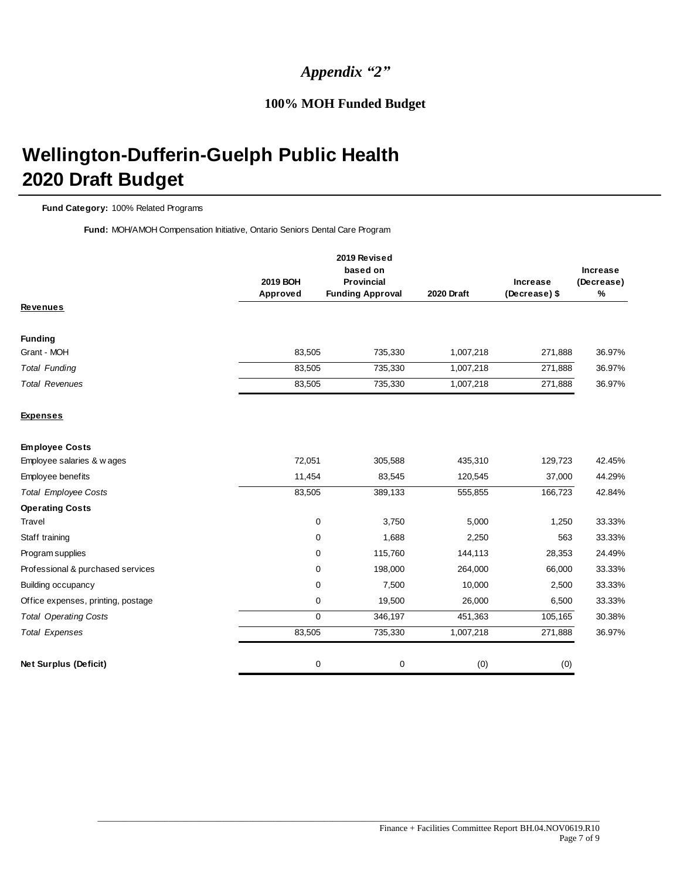#### *Appendix "2"*

#### **100% MOH Funded Budget**

# **Wellington-Dufferin-Guelph Public Health 2020 Draft Budget**

#### **Fund Category:** 100% Related Programs

**Fund:** MOH/AMOH Compensation Initiative, Ontario Seniors Dental Care Program

|                                    | 2019 BOH<br>Approved | 2019 Revised<br>based on<br><b>Provincial</b><br><b>Funding Approval</b> | <b>2020 Draft</b> | <b>Increase</b><br>(Decrease) \$ | <b>Increase</b><br>(Decrease)<br>% |
|------------------------------------|----------------------|--------------------------------------------------------------------------|-------------------|----------------------------------|------------------------------------|
| <b>Revenues</b>                    |                      |                                                                          |                   |                                  |                                    |
| <b>Funding</b>                     |                      |                                                                          |                   |                                  |                                    |
| Grant - MOH                        | 83,505               | 735,330                                                                  | 1,007,218         | 271,888                          | 36.97%                             |
| <b>Total Funding</b>               | 83,505               | 735,330                                                                  | 1,007,218         | 271,888                          | 36.97%                             |
| <b>Total Revenues</b>              | 83,505               | 735,330                                                                  | 1,007,218         | 271,888                          | 36.97%                             |
| <b>Expenses</b>                    |                      |                                                                          |                   |                                  |                                    |
| <b>Employee Costs</b>              |                      |                                                                          |                   |                                  |                                    |
| Employee salaries & w ages         | 72,051               | 305,588                                                                  | 435,310           | 129,723                          | 42.45%                             |
| Employee benefits                  | 11,454               | 83,545                                                                   | 120,545           | 37,000                           | 44.29%                             |
| <b>Total Employee Costs</b>        | 83,505               | 389,133                                                                  | 555,855           | 166,723                          | 42.84%                             |
| <b>Operating Costs</b>             |                      |                                                                          |                   |                                  |                                    |
| <b>Travel</b>                      | 0                    | 3,750                                                                    | 5,000             | 1,250                            | 33.33%                             |
| Staff training                     | 0                    | 1,688                                                                    | 2,250             | 563                              | 33.33%                             |
| Program supplies                   | 0                    | 115,760                                                                  | 144,113           | 28,353                           | 24.49%                             |
| Professional & purchased services  | $\mathbf 0$          | 198,000                                                                  | 264,000           | 66,000                           | 33.33%                             |
| <b>Building occupancy</b>          | $\mathbf 0$          | 7,500                                                                    | 10,000            | 2,500                            | 33.33%                             |
| Office expenses, printing, postage | 0                    | 19,500                                                                   | 26,000            | 6,500                            | 33.33%                             |
| <b>Total Operating Costs</b>       | 0                    | 346,197                                                                  | 451,363           | 105,165                          | 30.38%                             |
| <b>Total Expenses</b>              | 83,505               | 735,330                                                                  | 1,007,218         | 271,888                          | 36.97%                             |
| <b>Net Surplus (Deficit)</b>       | 0                    | 0                                                                        | (0)               | (0)                              |                                    |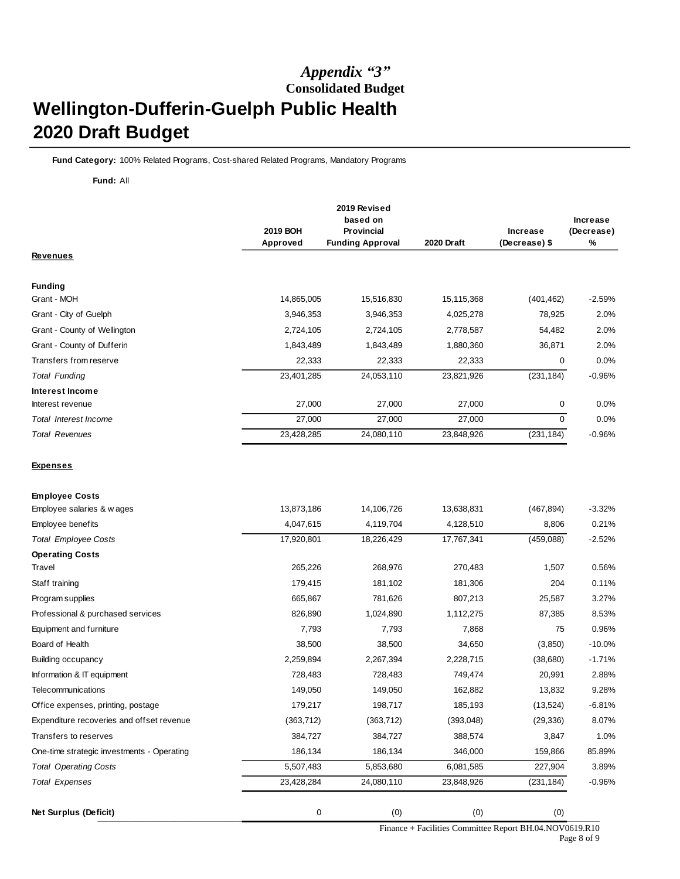### *Appendix "3"* **Consolidated Budget Wellington-Dufferin-Guelph Public Health 2020 Draft Budget**

**Fund Category:** 100% Related Programs, Cost-shared Related Programs, Mandatory Programs

#### **Fund:** All

*Total Operating Costs Total Expenses*

One-time strategic investments - Operating

|                                           | 2019 BOH<br>Approved | 2019 Revised<br>based on<br><b>Provincial</b><br><b>Funding Approval</b> | 2020 Draft | <b>Increase</b><br>(Decrease) \$ | Increase<br>(Decrease)<br>% |
|-------------------------------------------|----------------------|--------------------------------------------------------------------------|------------|----------------------------------|-----------------------------|
| <u>Revenues</u>                           |                      |                                                                          |            |                                  |                             |
| <b>Funding</b>                            |                      |                                                                          |            |                                  |                             |
| Grant - MOH                               | 14,865,005           | 15,516,830                                                               | 15,115,368 | (401, 462)                       | $-2.59%$                    |
| Grant - City of Guelph                    | 3,946,353            | 3,946,353                                                                | 4,025,278  | 78,925                           | 2.0%                        |
| Grant - County of Wellington              | 2,724,105            | 2,724,105                                                                | 2,778,587  | 54,482                           | 2.0%                        |
| Grant - County of Dufferin                | 1,843,489            | 1,843,489                                                                | 1,880,360  | 36,871                           | 2.0%                        |
| Transfers from reserve                    | 22,333               | 22,333                                                                   | 22,333     | $\mathbf 0$                      | 0.0%                        |
| <b>Total Funding</b>                      | 23,401,285           | 24,053,110                                                               | 23,821,926 | (231, 184)                       | $-0.96%$                    |
| Interest Income                           |                      |                                                                          |            |                                  |                             |
| Interest revenue                          | 27,000               | 27,000                                                                   | 27,000     | 0                                | 0.0%                        |
| <b>Total Interest Income</b>              | 27,000               | 27,000                                                                   | 27,000     | $\mathbf 0$                      | 0.0%                        |
| <b>Total Revenues</b>                     | 23,428,285           | 24,080,110                                                               | 23,848,926 | (231, 184)                       | $-0.96%$                    |
| <b>Expenses</b>                           |                      |                                                                          |            |                                  |                             |
| <b>Employee Costs</b>                     |                      |                                                                          |            |                                  |                             |
| Employee salaries & w ages                | 13,873,186           | 14,106,726                                                               | 13,638,831 | (467, 894)                       | $-3.32%$                    |
| Employee benefits                         | 4,047,615            | 4,119,704                                                                | 4,128,510  | 8,806                            | 0.21%                       |
| <b>Total Employee Costs</b>               | 17,920,801           | 18,226,429                                                               | 17,767,341 | (459,088)                        | $-2.52%$                    |
| <b>Operating Costs</b>                    |                      |                                                                          |            |                                  |                             |
| Travel                                    | 265,226              | 268,976                                                                  | 270,483    | 1,507                            | 0.56%                       |
| Staff training                            | 179,415              | 181,102                                                                  | 181,306    | 204                              | 0.11%                       |
| Program supplies                          | 665,867              | 781,626                                                                  | 807,213    | 25,587                           | 3.27%                       |
| Professional & purchased services         | 826,890              | 1,024,890                                                                | 1,112,275  | 87,385                           | 8.53%                       |
| Equipment and furniture                   | 7,793                | 7,793                                                                    | 7,868      | 75                               | 0.96%                       |
| Board of Health                           | 38,500               | 38,500                                                                   | 34,650     | (3,850)                          | $-10.0%$                    |
| Building occupancy                        | 2,259,894            | 2,267,394                                                                | 2,228,715  | (38,680)                         | $-1.71%$                    |
| Information & IT equipment                | 728,483              | 728,483                                                                  | 749,474    | 20,991                           | 2.88%                       |
| Telecommunications                        | 149,050              | 149,050                                                                  | 162,882    | 13,832                           | 9.28%                       |
| Office expenses, printing, postage        | 179,217              | 198,717                                                                  | 185,193    | (13, 524)                        | $-6.81%$                    |
| Expenditure recoveries and offset revenue | (363, 712)           | (363, 712)                                                               | (393,048)  | (29, 336)                        | 8.07%                       |
| Transfers to reserves                     | 384.727              | 384.727                                                                  | 388.574    | 3.847                            | 1.0%                        |

\_\_\_\_\_\_\_\_\_\_\_\_\_\_\_\_\_\_\_\_\_\_\_\_\_\_\_\_\_\_\_\_\_\_\_\_\_\_\_\_\_\_\_\_\_\_\_\_\_\_\_\_\_\_\_\_\_\_\_\_\_\_\_\_\_\_\_\_\_\_\_\_\_\_\_\_\_\_\_\_\_\_\_\_\_\_\_\_\_\_\_\_\_\_\_\_\_\_\_\_\_\_\_\_\_\_\_\_\_\_\_\_\_ 5,507,483 5,853,680 6,081,585 227,904 3.89% 23,428,284 24,080,110 23,848,926 (231,184) -0.96% **Net Surplus (Deficit)** 0 (0) (0) (0)

186,134 186,134 346,000 159,866 85.89%